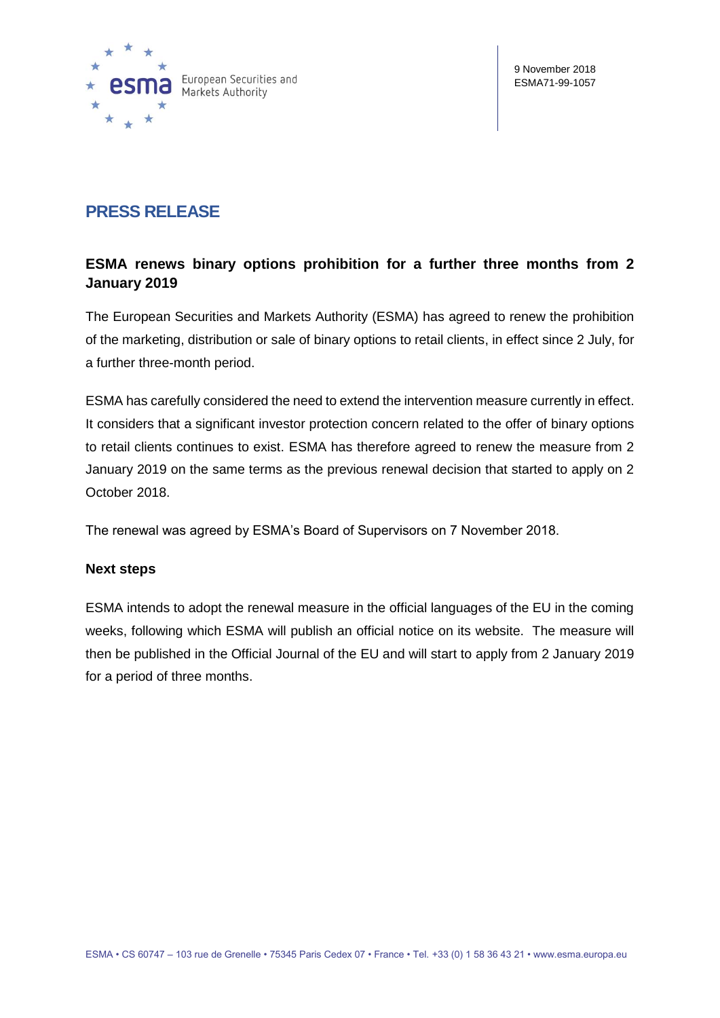

# **PRESS RELEASE**

## **ESMA renews binary options prohibition for a further three months from 2 January 2019**

The European Securities and Markets Authority (ESMA) has agreed to renew the prohibition of the marketing, distribution or sale of binary options to retail clients, in effect since 2 July, for a further three-month period.

ESMA has carefully considered the need to extend the intervention measure currently in effect. It considers that a significant investor protection concern related to the offer of binary options to retail clients continues to exist. ESMA has therefore agreed to renew the measure from 2 January 2019 on the same terms as the previous renewal decision that started to apply on 2 October 2018.

The renewal was agreed by ESMA's Board of Supervisors on 7 November 2018.

### **Next steps**

ESMA intends to adopt the renewal measure in the official languages of the EU in the coming weeks, following which ESMA will publish an official notice on its website. The measure will then be published in the Official Journal of the EU and will start to apply from 2 January 2019 for a period of three months.